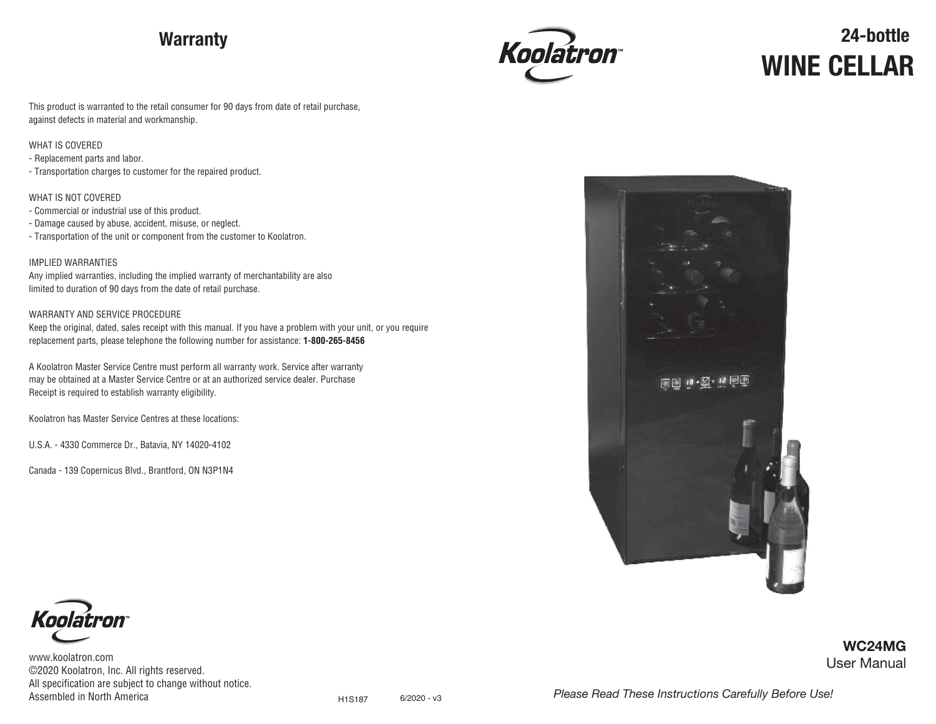# **Warranty**



# **24-bottle WINE CELLAR**

This product is warranted to the retail consumer for 90 days from date of retail purchase, against defects in material and workmanship.

#### WHAT IS COVERED

- Replacement parts and labor.

- Transportation charges to customer for the repaired product.

WHAT IS NOT COVERED

- Commercial or industrial use of this product.
- Damage caused by abuse, accident, misuse, or neglect.
- Transportation of the unit or component from the customer to Koolatron.

#### IMPLIED WARRANTIES

Any implied warranties, including the implied warranty of merchantability are also limited to duration of 90 days from the date of retail purchase.

#### WARRANTY AND SERVICE PROCEDURE

Keep the original, dated, sales receipt with this manual. If you have a problem with your unit, or you require replacement parts, please telephone the following number for assistance: **1-800-265-8456**

A Koolatron Master Service Centre must perform all warranty work. Service after warranty may be obtained at a Master Service Centre or at an authorized service dealer. Purchase Receipt is required to establish warranty eligibility.

Koolatron has Master Service Centres at these locations:

U.S.A. - 4330 Commerce Dr., Batavia, NY 14020-4102

Canada - 139 Copernicus Blvd., Brantford, ON N3P1N4



![](_page_0_Picture_20.jpeg)

www.koolatron.com ©2020 Koolatron, Inc. All rights reserved. All specification are subject to change without notice. Assembled in North America **6/2020** - v3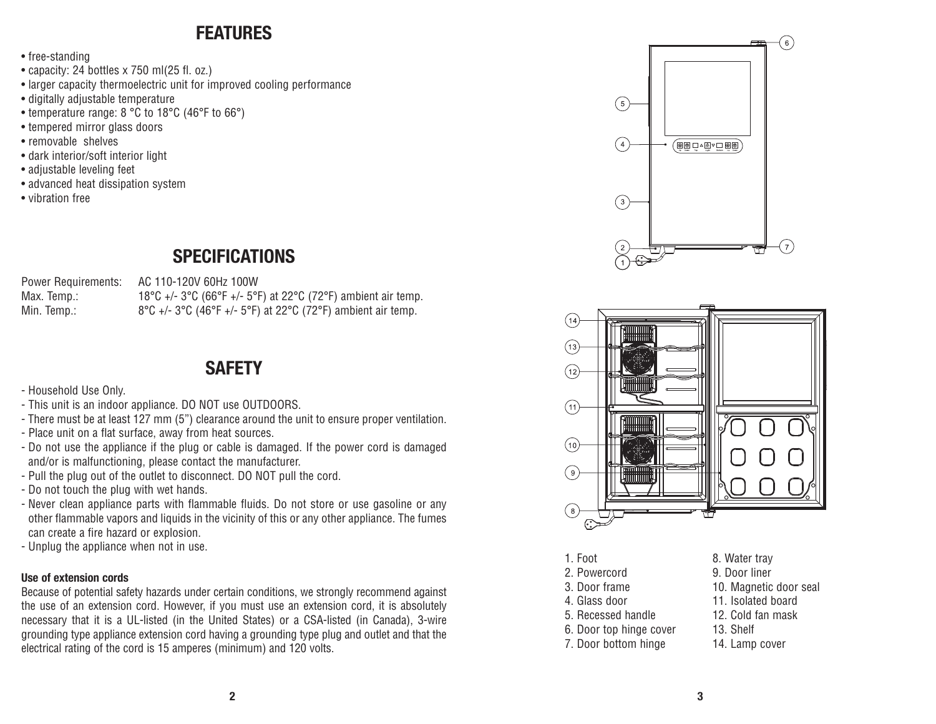### **FEATURES**

- free-standing
- capacity: 24 bottles x 750 ml(25 fl. oz.)
- larger capacity thermoelectric unit for improved cooling performance
- digitally adjustable temperature
- temperature range: 8 °C to 18°C (46°F to 66°)
- tempered mirror glass doors
- removable shelves
- dark interior/soft interior light
- adjustable leveling feet
- advanced heat dissipation system
- vibration free

## **SPECIFICATIONS**

Power Requirements: AC 110-120V 60Hz 100W

Max. Temp.: 18°C +/- 3°C (66°F +/- 5°F) at 22°C (72°F) ambient air temp. Min. Temp.: 8°C +/- 3°C (46°F +/- 5°F) at 22°C (72°F) ambient air temp.

### **SAFETY**

- Household Use Only.
- This unit is an indoor appliance. DO NOT use OUTDOORS.
- There must be at least 127 mm (5") clearance around the unit to ensure proper ventilation.
- Place unit on a flat surface, away from heat sources.
- Do not use the appliance if the plug or cable is damaged. If the power cord is damaged and/or is malfunctioning, please contact the manufacturer.
- Pull the plug out of the outlet to disconnect. DO NOT pull the cord.
- Do not touch the plug with wet hands.
- Never clean appliance parts with flammable fluids. Do not store or use gasoline or any other flammable vapors and liquids in the vicinity of this or any other appliance. The fumes can create a fire hazard or explosion.
- Unplug the appliance when not in use.

#### **Use of extension cords**

Because of potential safety hazards under certain conditions, we strongly recommend against the use of an extension cord. However, if you must use an extension cord, it is absolutely necessary that it is a UL-listed (in the United States) or a CSA-listed (in Canada), 3-wire grounding type appliance extension cord having a grounding type plug and outlet and that the electrical rating of the cord is 15 amperes (minimum) and 120 volts.

![](_page_1_Figure_27.jpeg)

![](_page_1_Picture_28.jpeg)

- 1. Foot 2. Powercord
- 3. Door frame
- 4. Glass door
- 5. Recessed handle
- 6. Door top hinge cover
- 7. Door bottom hinge
- 8. Water tray 9. Door liner
- 10. Magnetic door seal
- 11. Isolated board
	- 12. Cold fan mask
	- 13. Shelf
	- 14. Lamp cover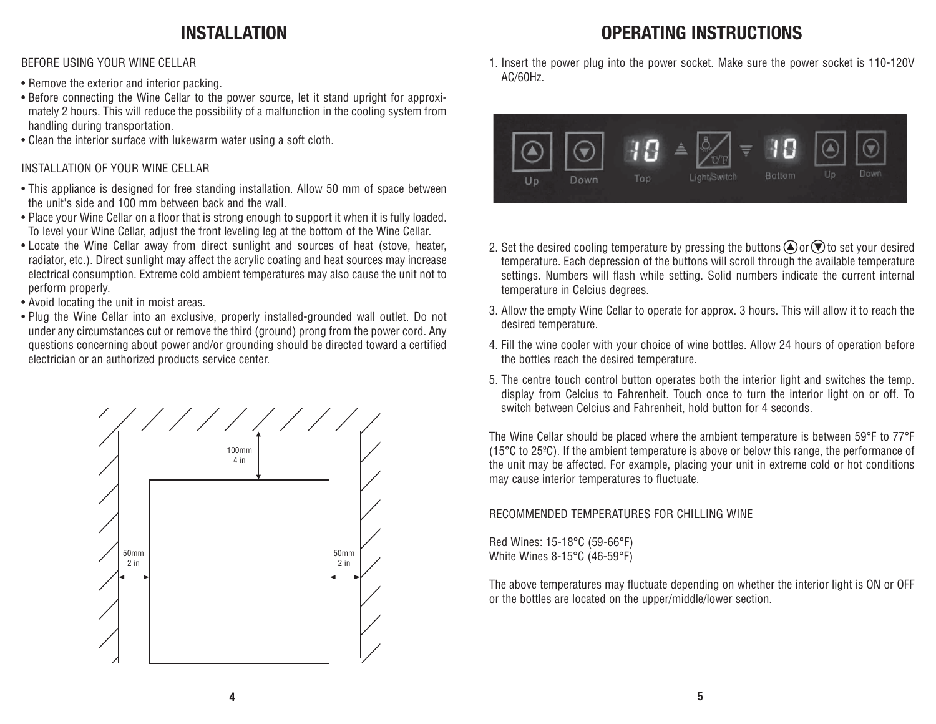### **INSTALLATION**

BEFORE USING YOUR WINE CELLAR

- Remove the exterior and interior packing.
- Before connecting the Wine Cellar to the power source, let it stand upright for approximately 2 hours. This will reduce the possibility of a malfunction in the cooling system from handling during transportation.
- Clean the interior surface with lukewarm water using a soft cloth.

### INSTALLATION OF YOUR WINE CELLAR

- This appliance is designed for free standing installation. Allow 50 mm of space between the unit's side and 100 mm between back and the wall.
- Place your Wine Cellar on a floor that is strong enough to support it when it is fully loaded. To level your Wine Cellar, adjust the front leveling leg at the bottom of the Wine Cellar.
- Locate the Wine Cellar away from direct sunlight and sources of heat (stove, heater, radiator, etc.). Direct sunlight may affect the acrylic coating and heat sources may increase electrical consumption. Extreme cold ambient temperatures may also cause the unit not to perform properly.
- Avoid locating the unit in moist areas.
- Plug the Wine Cellar into an exclusive, properly installed-grounded wall outlet. Do not under any circumstances cut or remove the third (ground) prong from the power cord. Any questions concerning about power and/or grounding should be directed toward a certified electrician or an authorized products service center.

![](_page_2_Figure_11.jpeg)

# **OPERATING INSTRUCTIONS**

1. Insert the power plug into the power socket. Make sure the power socket is 110-120V AC/60Hz.

![](_page_2_Figure_14.jpeg)

- 2. Set the desired cooling temperature by pressing the buttons  $\bigtriangleup$  or  $\bigtriangledown$  to set your desired temperature. Each depression of the buttons will scroll through the available temperature settings. Numbers will flash while setting. Solid numbers indicate the current internal temperature in Celcius degrees.
- 3. Allow the empty Wine Cellar to operate for approx. 3 hours. This will allow it to reach the desired temperature.
- 4. Fill the wine cooler with your choice of wine bottles. Allow 24 hours of operation before the bottles reach the desired temperature.
- 5. The centre touch control button operates both the interior light and switches the temp. display from Celcius to Fahrenheit. Touch once to turn the interior light on or off. To switch between Celcius and Fahrenheit, hold button for 4 seconds.

The Wine Cellar should be placed where the ambient temperature is between 59°F to 77°F (15°C to 25ºC). If the ambient temperature is above or below this range, the performance of the unit may be affected. For example, placing your unit in extreme cold or hot conditions may cause interior temperatures to fluctuate.

RECOMMENDED TEMPERATURES FOR CHILLING WINE

Red Wines: 15-18°C (59-66°F) White Wines 8-15°C (46-59°F)

The above temperatures may fluctuate depending on whether the interior light is ON or OFF or the bottles are located on the upper/middle/lower section.